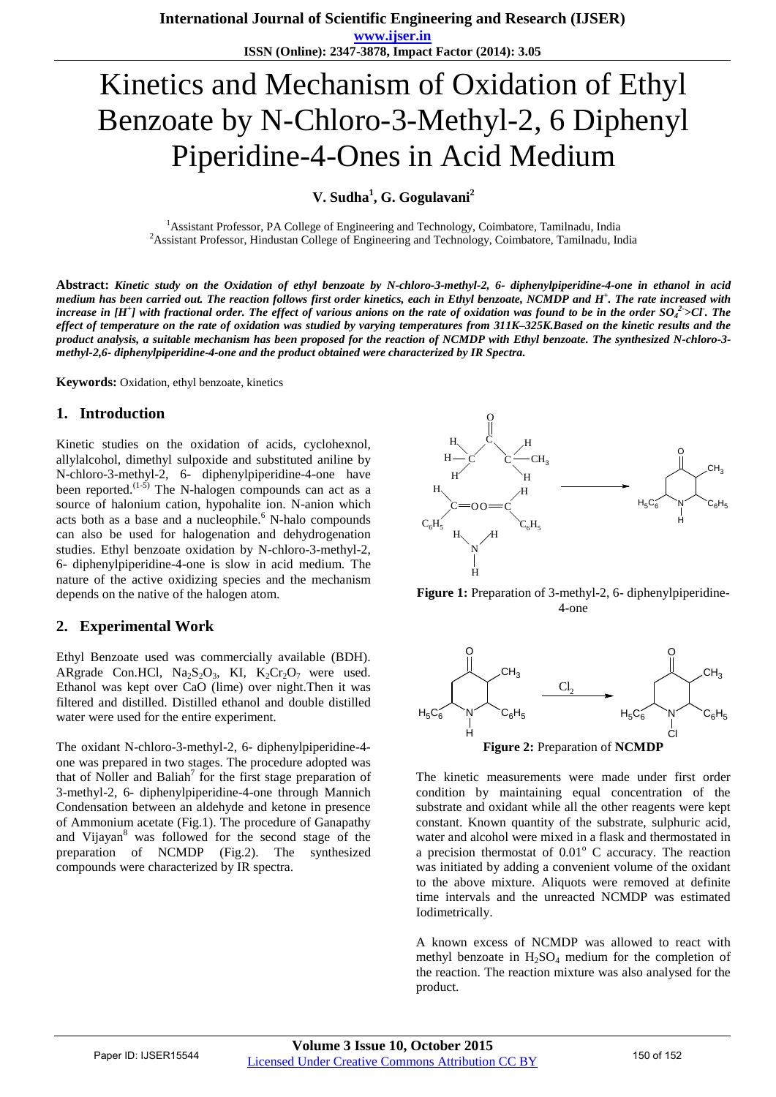# Kinetics and Mechanism of Oxidation of Ethyl Benzoate by N-Chloro-3-Methyl-2, 6 Diphenyl Piperidine-4-Ones in Acid Medium

**V. Sudha<sup>1</sup> , G. Gogulavani<sup>2</sup>**

<sup>1</sup>Assistant Professor, PA College of Engineering and Technology, Coimbatore, Tamilnadu, India <sup>2</sup> Assistant Professor, Hindustan College of Engineering and Technology, Coimbatore, Tamilnadu, India

**Abstract:** *Kinetic study on the Oxidation of ethyl benzoate by N-chloro-3-methyl-2, 6- diphenylpiperidine-4-one in ethanol in acid medium has been carried out. The reaction follows first order kinetics, each in Ethyl benzoate, NCMDP and H<sup>+</sup> . The rate increased with increase in [H<sup>+</sup> ] with fractional order. The effect of various anions on the rate of oxidation was found to be in the order SO<sup>4</sup> 2- >Cl- . The effect of temperature on the rate of oxidation was studied by varying temperatures from 311K–325K.Based on the kinetic results and the product analysis, a suitable mechanism has been proposed for the reaction of NCMDP with Ethyl benzoate. The synthesized N-chloro-3 methyl-2,6- diphenylpiperidine-4-one and the product obtained were characterized by IR Spectra.*

**Keywords:** Oxidation, ethyl benzoate, kinetics

#### **1. Introduction**

Kinetic studies on the oxidation of acids, cyclohexnol, allylalcohol, dimethyl sulpoxide and substituted aniline by N-chloro-3-methyl-2, 6- diphenylpiperidine-4-one have been reported.<sup> $(1-5)$ </sup> The N-halogen compounds can act as a source of halonium cation, hypohalite ion. N-anion which acts both as a base and a nucleophile. $<sup>6</sup>$  N-halo compounds</sup> can also be used for halogenation and dehydrogenation studies. Ethyl benzoate oxidation by N-chloro-3-methyl-2, 6- diphenylpiperidine-4-one is slow in acid medium. The nature of the active oxidizing species and the mechanism depends on the native of the halogen atom.

# **2. Experimental Work**

Ethyl Benzoate used was commercially available (BDH). ARgrade Con.HCl,  $Na<sub>2</sub>S<sub>2</sub>O<sub>3</sub>$ , KI,  $K<sub>2</sub>Cr<sub>2</sub>O<sub>7</sub>$  were used. Ethanol was kept over CaO (lime) over night.Then it was filtered and distilled. Distilled ethanol and double distilled water were used for the entire experiment.

The oxidant N-chloro-3-methyl-2, 6- diphenylpiperidine-4 one was prepared in two stages. The procedure adopted was that of Noller and Baliah<sup>7</sup> for the first stage preparation of 3-methyl-2, 6- diphenylpiperidine-4-one through Mannich Condensation between an aldehyde and ketone in presence of Ammonium acetate (Fig.1). The procedure of Ganapathy and Vijayan<sup>8</sup> was followed for the second stage of the preparation of NCMDP (Fig.2). The synthesized compounds were characterized by IR spectra.



**Figure 1:** Preparation of 3-methyl-2, 6- diphenylpiperidine-4-one



The kinetic measurements were made under first order condition by maintaining equal concentration of the substrate and oxidant while all the other reagents were kept constant. Known quantity of the substrate, sulphuric acid, water and alcohol were mixed in a flask and thermostated in a precision thermostat of  $0.01^{\circ}$  C accuracy. The reaction was initiated by adding a convenient volume of the oxidant to the above mixture. Aliquots were removed at definite time intervals and the unreacted NCMDP was estimated Iodimetrically.

A known excess of NCMDP was allowed to react with methyl benzoate in  $H_2SO_4$  medium for the completion of the reaction. The reaction mixture was also analysed for the product.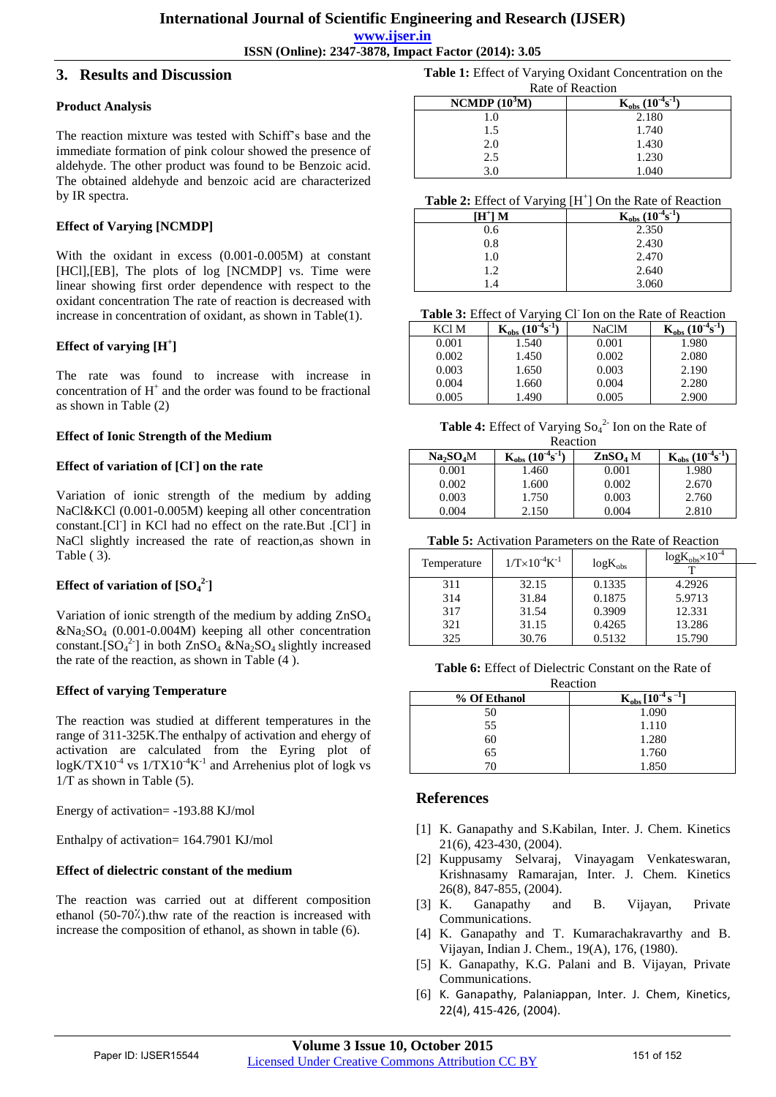**ISSN (Online): 2347-3878, Impact Factor (2014): 3.05**

### **3. Results and Discussion**

#### **Product Analysis**

The reaction mixture was tested with Schiff's base and the immediate formation of pink colour showed the presence of aldehyde. The other product was found to be Benzoic acid. The obtained aldehyde and benzoic acid are characterized by IR spectra.

# **Effect of Varying [NCMDP]**

With the oxidant in excess (0.001-0.005M) at constant [HCl],[EB], The plots of log [NCMDP] vs. Time were linear showing first order dependence with respect to the oxidant concentration The rate of reaction is decreased with increase in concentration of oxidant, as shown in Table(1).

# **Effect of varying [H<sup>+</sup> ]**

The rate was found to increase with increase in concentration of  $H^+$  and the order was found to be fractional as shown in Table (2)

#### **Effect of Ionic Strength of the Medium**

# **Effect of variation of [Cl- ] on the rate**

Variation of ionic strength of the medium by adding NaCl&KCl (0.001-0.005M) keeping all other concentration constant.[Cl<sup>-</sup>] in KCl had no effect on the rate.But .[Cl<sup>-</sup>] in NaCl slightly increased the rate of reaction,as shown in Table ( 3).

# **Effect of variation of**  $[SO_4^2]$

Variation of ionic strength of the medium by adding ZnSO<sup>4</sup>  $&Na_2SO_4$  (0.001-0.004M) keeping all other concentration constant.  $[SO_4^2]$  in both  $ZnSO_4 \& Na_2SO_4$  slightly increased the rate of the reaction, as shown in Table (4 ).

#### **Effect of varying Temperature**

The reaction was studied at different temperatures in the range of 311-325K.The enthalpy of activation and ehergy of activation are calculated from the Eyring plot of  $log K/TX10^{-4}$  vs  $1/TX10^{-4}K^{-1}$  and Arrehenius plot of logk vs  $1/T$  as shown in Table (5).

Energy of activation= -193.88 KJ/mol

Enthalpy of activation= 164.7901 KJ/mol

# **Effect of dielectric constant of the medium**

The reaction was carried out at different composition ethanol  $(50-70\%)$ .thw rate of the reaction is increased with increase the composition of ethanol, as shown in table (6).

**Table 1:** Effect of Varying Oxidant Concentration on the Rate of Reaction

| iyan ol iyaction |                                    |  |
|------------------|------------------------------------|--|
| NCMDP $(10^3M)$  | $K_{\rm obs}$<br>$(10^{-4}s^{-1})$ |  |
| 1.0              | 2.180                              |  |
| 1.5              | 1.740                              |  |
| 2.0              | 1.430                              |  |
| 2.5              | 1.230                              |  |
| 3 በ              | 1.040                              |  |

#### Table 2: Effect of Varying [H<sup>+</sup>] On the Rate of Reaction

| $\circ$ .<br>$[H^{\dagger}]$ M | $K_{obs}$ (10 <sup>-4</sup> s) |
|--------------------------------|--------------------------------|
|                                |                                |
| 0.6                            | 2.350                          |
| 0.8                            | 2.430                          |
| 1.0                            | 2.470                          |
| 1.2                            | 2.640                          |
| $\mathsf{I}$ .4                | 3.060                          |

| KCl M | $K_{obs}$ | NaClM | $K_{obs}$ (10 <sup>-3</sup> s) |
|-------|-----------|-------|--------------------------------|
| 0.001 | 1.540     | 0.001 | 1.980                          |
| 0.002 | 1.450     | 0.002 | 2.080                          |
| 0.003 | 1.650     | 0.003 | 2.190                          |
| 0.004 | 1.660     | 0.004 | 2.280                          |
| 0.005 | l.490     | 0.005 | 2.900                          |

**Table 4:** Effect of Varying  $So<sub>4</sub><sup>2</sup>$  Ion on the Rate of Reaction

| reacuoil                          |                   |               |                   |
|-----------------------------------|-------------------|---------------|-------------------|
| Na <sub>2</sub> SO <sub>4</sub> M | $(10^{-4}s^{-1})$ | $\rm ZnSO4$ M | $(10^{-4}s^{-1})$ |
| 0.001                             | 1.460             | 0.001         | 1.980             |
| 0.002                             | 1.600             | 0.002         | 2.670             |
| 0.003                             | 1.750             | 0.003         | 2.760             |
| 0.004                             | 2.150             | 0.004         | 2.810             |

**Table 5:** Activation Parameters on the Rate of Reaction

| Temperature | $1/T \times 10^{-4} K^{-1}$ | $log K_{obs}$ | $log K_{obs} \times 10^{-4}$ |  |
|-------------|-----------------------------|---------------|------------------------------|--|
|             |                             |               |                              |  |
| 311         | 32.15                       | 0.1335        | 4.2926                       |  |
| 314         | 31.84                       | 0.1875        | 5.9713                       |  |
| 317         | 31.54                       | 0.3909        | 12.331                       |  |
| 321         | 31.15                       | 0.4265        | 13.286                       |  |
| 325         | 30.76                       | 0.5132        | 15.790                       |  |

**Table 6:** Effect of Dielectric Constant on the Rate of Reaction

| reacuon      |                                               |  |
|--------------|-----------------------------------------------|--|
| % Of Ethanol | $K_{obs}$ [10 <sup>-4</sup> s <sup>-1</sup> ] |  |
| 50           | 1.090                                         |  |
| 55           | 1.110                                         |  |
| 60           | 1.280                                         |  |
| 65           | 1.760                                         |  |
| 70           | 1.850                                         |  |

# **References**

- [1] K. Ganapathy and S.Kabilan, Inter. J. Chem. Kinetics 21(6), 423-430, (2004).
- [2] Kuppusamy Selvaraj, Vinayagam Venkateswaran, Krishnasamy Ramarajan, Inter. J. Chem. Kinetics 26(8), 847-855, (2004).
- [3] K. Ganapathy and B. Vijayan, Private Communications.
- [4] K. Ganapathy and T. Kumarachakravarthy and B. Vijayan, Indian J. Chem., 19(A), 176, (1980).
- [5] K. Ganapathy, K.G. Palani and B. Vijayan, Private Communications.
- [6] K. Ganapathy, Palaniappan, Inter. J. Chem, Kinetics, 22(4), 415-426, (2004).